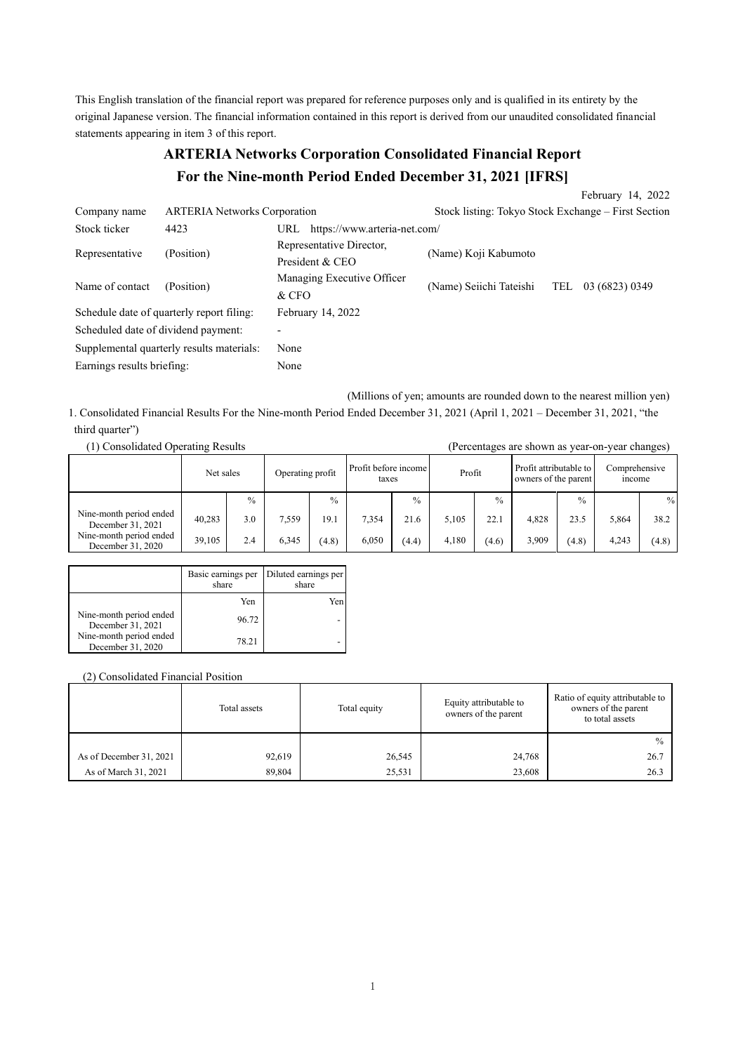This English translation of the financial report was prepared for reference purposes only and is qualified in its entirety by the original Japanese version. The financial information contained in this report is derived from our unaudited consolidated financial statements appearing in item 3 of this report.

# **ARTERIA Networks Corporation Consolidated Financial Report For the Nine-month Period Ended December 31, 2021 [IFRS]**

|                                           |                                     |                                             |                                                     | February 14, 2022 |
|-------------------------------------------|-------------------------------------|---------------------------------------------|-----------------------------------------------------|-------------------|
| Company name                              | <b>ARTERIA Networks Corporation</b> |                                             | Stock listing: Tokyo Stock Exchange – First Section |                   |
| Stock ticker                              | 4423                                | https://www.arteria-net.com/<br>URL         |                                                     |                   |
| Representative                            | (Position)                          | Representative Director,<br>President & CEO | (Name) Koji Kabumoto                                |                   |
| Name of contact                           | (Position)                          | Managing Executive Officer<br>$&$ CFO       | (Name) Seiichi Tateishi<br>TEL                      | 03 (6823) 0349    |
| Schedule date of quarterly report filing: |                                     | February 14, 2022                           |                                                     |                   |
| Scheduled date of dividend payment:       |                                     |                                             |                                                     |                   |
| Supplemental quarterly results materials: |                                     | None                                        |                                                     |                   |
| Earnings results briefing:                |                                     | None                                        |                                                     |                   |

(Millions of yen; amounts are rounded down to the nearest million yen)

1. Consolidated Financial Results For the Nine-month Period Ended December 31, 2021 (April 1, 2021 – December 31, 2021, "the third quarter")

| (1) Consolidated Operating Results           |           |               |                  |               |                               | (Percentages are shown as year-on-year changes) |        |               |                                                |               |                         |               |
|----------------------------------------------|-----------|---------------|------------------|---------------|-------------------------------|-------------------------------------------------|--------|---------------|------------------------------------------------|---------------|-------------------------|---------------|
|                                              | Net sales |               | Operating profit |               | Profit before income<br>taxes |                                                 | Profit |               | Profit attributable to<br>owners of the parent |               | Comprehensive<br>income |               |
|                                              |           | $\frac{0}{0}$ |                  | $\frac{0}{0}$ |                               | $\frac{0}{0}$                                   |        | $\frac{0}{0}$ |                                                | $\frac{0}{0}$ |                         | $\frac{0}{0}$ |
| Nine-month period ended<br>December 31, 2021 | 40,283    | 3.0           | 7.559            | 19.1          | 7,354                         | 21.6                                            | 5.105  | 22.1          | 4.828                                          | 23.5          | 5,864                   | 38.2          |
| Nine-month period ended<br>December 31, 2020 | 39,105    | 2.4           | 6.345            | (4.8)         | 6.050                         | (4.4)                                           | 4.180  | (4.6)         | 3.909                                          | (4.8)         | 4.243                   | (4.8)         |

|                                              | Basic earnings per<br>share | Diluted earnings per<br>share |
|----------------------------------------------|-----------------------------|-------------------------------|
|                                              | Yen                         | Yen.                          |
| Nine-month period ended<br>December 31, 2021 | 96.72                       |                               |
| Nine-month period ended<br>December 31, 2020 | 78.21                       |                               |

## (2) Consolidated Financial Position

|                         | Total assets | Total equity | Equity attributable to<br>owners of the parent | Ratio of equity attributable to<br>owners of the parent<br>to total assets |  |
|-------------------------|--------------|--------------|------------------------------------------------|----------------------------------------------------------------------------|--|
|                         |              |              |                                                | $\frac{0}{0}$                                                              |  |
| As of December 31, 2021 | 92,619       | 26,545       | 24,768                                         | 26.7                                                                       |  |
| As of March 31, 2021    | 89,804       | 25,531       | 23,608                                         | 26.3                                                                       |  |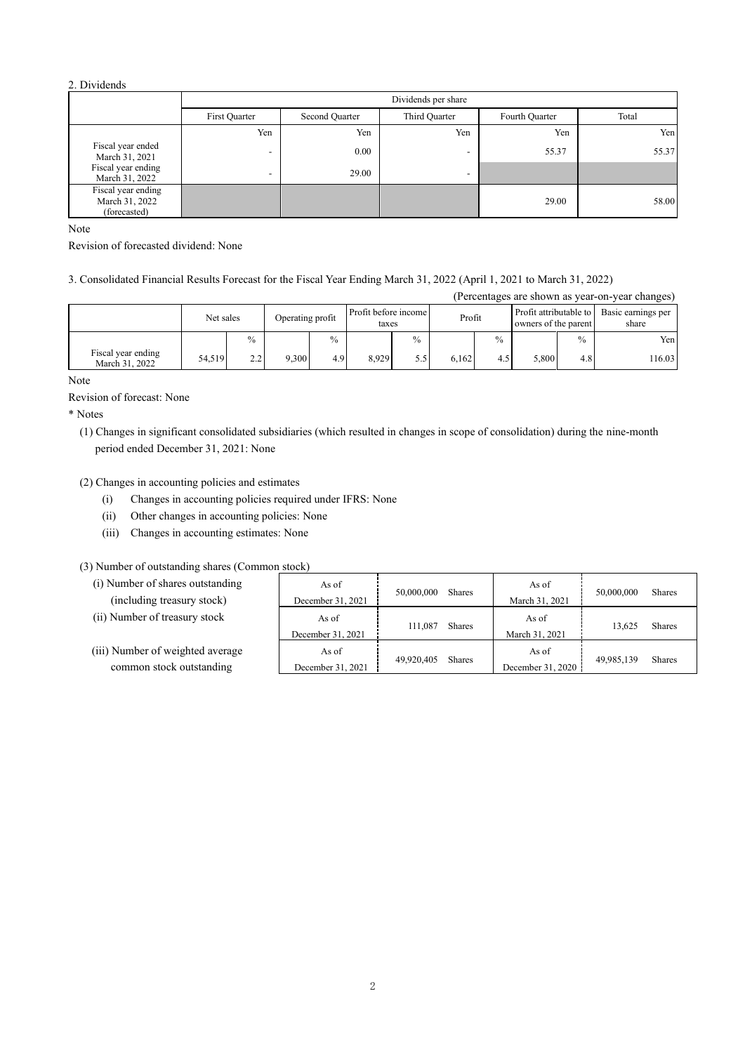### 2. Dividends

|                                                      | Dividends per share |                |                          |                |       |  |  |
|------------------------------------------------------|---------------------|----------------|--------------------------|----------------|-------|--|--|
|                                                      | First Quarter       | Second Quarter | Third Quarter            | Fourth Quarter | Total |  |  |
|                                                      | Yen                 | Yen            | Yen                      | Yen            | Yen   |  |  |
| Fiscal year ended<br>March 31, 2021                  |                     | 0.00           | $\overline{\phantom{0}}$ | 55.37          | 55.37 |  |  |
| Fiscal year ending<br>March 31, 2022                 | -                   | 29.00          | $\overline{\phantom{0}}$ |                |       |  |  |
| Fiscal year ending<br>March 31, 2022<br>(forecasted) |                     |                |                          | 29.00          | 58.00 |  |  |

Note

Revision of forecasted dividend: None

3. Consolidated Financial Results Forecast for the Fiscal Year Ending March 31, 2022 (April 1, 2021 to March 31, 2022)

|                                      |           |      |                  |               |                               |               |        |               |                                                |               | (Percentages are shown as year-on-year changes) |
|--------------------------------------|-----------|------|------------------|---------------|-------------------------------|---------------|--------|---------------|------------------------------------------------|---------------|-------------------------------------------------|
|                                      | Net sales |      | Operating profit |               | Profit before income<br>taxes |               | Profit |               | Profit attributable to<br>owners of the parent |               | Basic earnings per<br>share                     |
|                                      |           | $\%$ |                  | $\frac{0}{0}$ |                               | $\frac{0}{0}$ |        | $\frac{0}{0}$ |                                                | $\frac{0}{0}$ | Yen l                                           |
| Fiscal year ending<br>March 31, 2022 | 54.519    | 2.2  | 9.300            | 4.9           | 8.929                         | 5.5           | 6.162  | 4.5           | 5.800                                          | 4.8           | 116.03                                          |

Note

Revision of forecast: None

\* Notes

(1) Changes in significant consolidated subsidiaries (which resulted in changes in scope of consolidation) during the nine-month period ended December 31, 2021: None

(2) Changes in accounting policies and estimates

- (i) Changes in accounting policies required under IFRS: None
- (ii) Other changes in accounting policies: None
- (iii) Changes in accounting estimates: None

(3) Number of outstanding shares (Common stock)

- (i) Number of shares outstanding (including treasury stock)
- (ii) Number of treasury stock
- (iii) Number of weighted averag common stock outstanding

| g | As of             | 50,000,000 | Shares | As of             | 50,000,000 | Shares        |  |
|---|-------------------|------------|--------|-------------------|------------|---------------|--|
|   | December 31, 2021 |            |        | March 31, 2021    |            |               |  |
|   | As of             | 111,087    | Shares | As of             | 13.625     | <b>Shares</b> |  |
|   | December 31, 2021 |            |        | March 31, 2021    |            |               |  |
| e | As of             | 49.920,405 | Shares | As of             | 49,985,139 | <b>Shares</b> |  |
|   | December 31, 2021 |            |        | December 31, 2020 |            |               |  |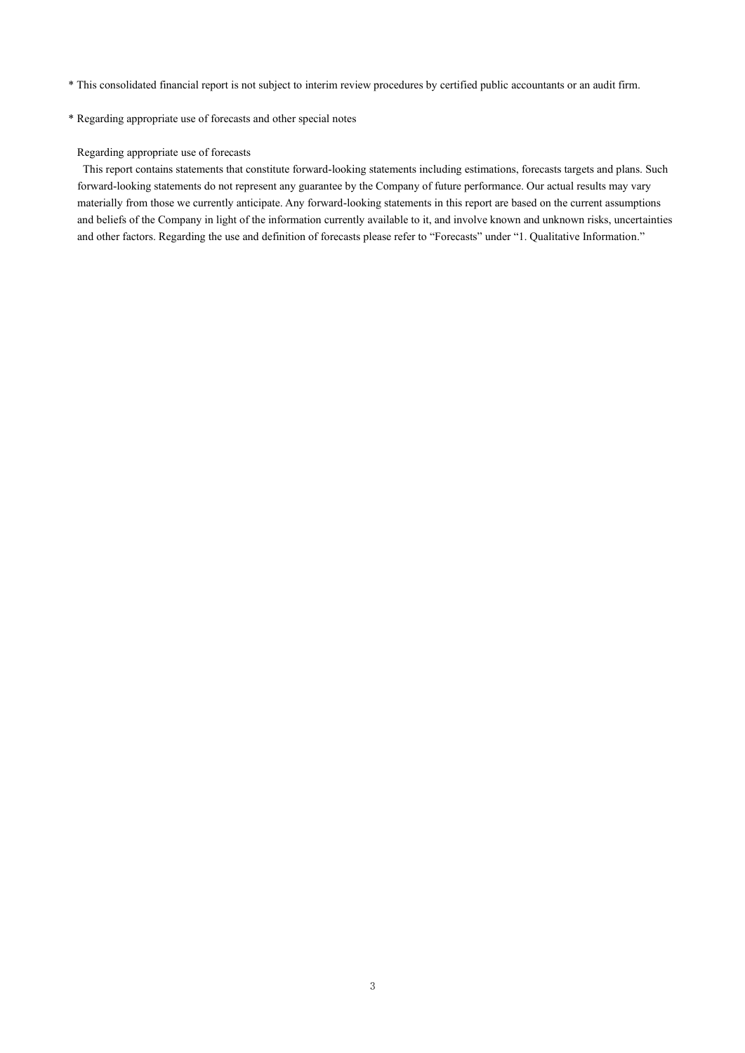- \* This consolidated financial report is not subject to interim review procedures by certified public accountants or an audit firm.
- \* Regarding appropriate use of forecasts and other special notes

### Regarding appropriate use of forecasts

This report contains statements that constitute forward-looking statements including estimations, forecasts targets and plans. Such forward-looking statements do not represent any guarantee by the Company of future performance. Our actual results may vary materially from those we currently anticipate. Any forward-looking statements in this report are based on the current assumptions and beliefs of the Company in light of the information currently available to it, and involve known and unknown risks, uncertainties and other factors. Regarding the use and definition of forecasts please refer to "Forecasts" under "1. Qualitative Information."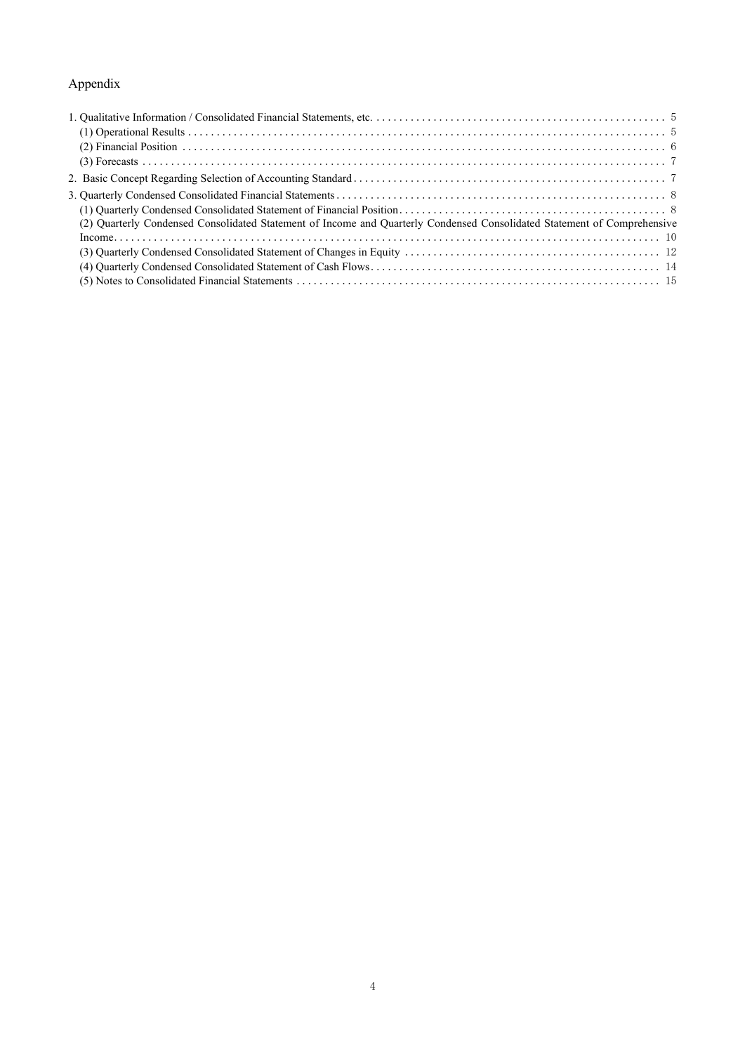## Appendix

| (2) Quarterly Condensed Consolidated Statement of Income and Quarterly Condensed Consolidated Statement of Comprehensive |  |
|--------------------------------------------------------------------------------------------------------------------------|--|
|                                                                                                                          |  |
|                                                                                                                          |  |
|                                                                                                                          |  |
|                                                                                                                          |  |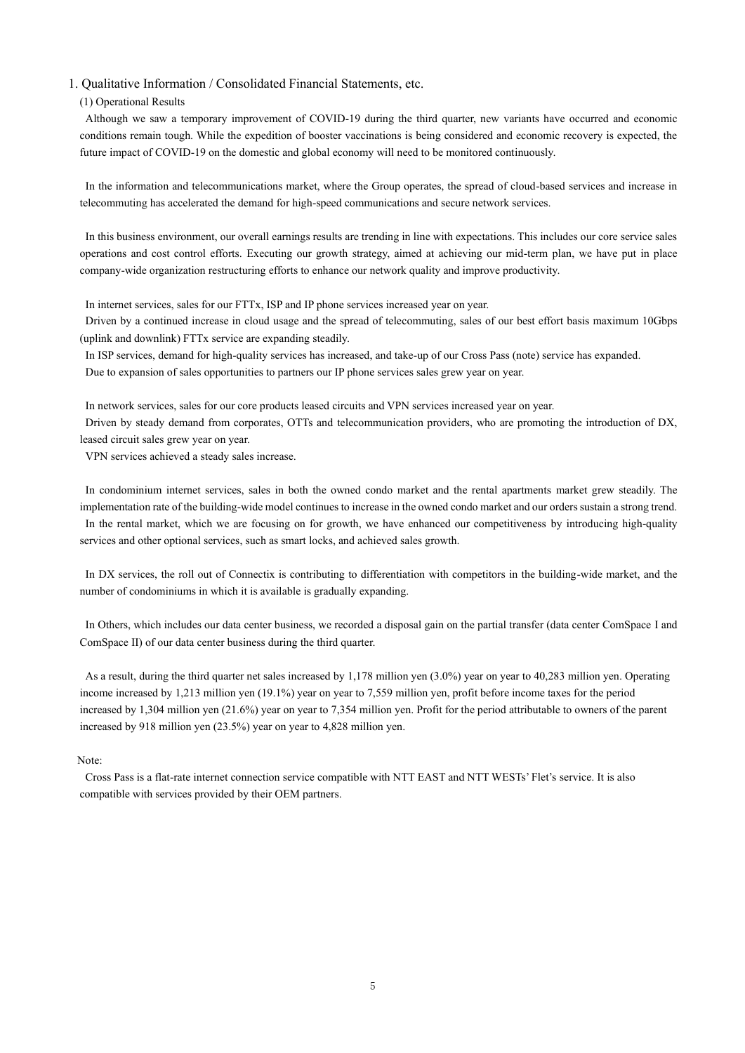#### 1. Qualitative Information / Consolidated Financial Statements, etc.

#### (1) Operational Results

Although we saw a temporary improvement of COVID-19 during the third quarter, new variants have occurred and economic conditions remain tough. While the expedition of booster vaccinations is being considered and economic recovery is expected, the future impact of COVID-19 on the domestic and global economy will need to be monitored continuously.

In the information and telecommunications market, where the Group operates, the spread of cloud-based services and increase in telecommuting has accelerated the demand for high-speed communications and secure network services.

In this business environment, our overall earnings results are trending in line with expectations. This includes our core service sales operations and cost control efforts. Executing our growth strategy, aimed at achieving our mid-term plan, we have put in place company-wide organization restructuring efforts to enhance our network quality and improve productivity.

In internet services, sales for our FTTx, ISP and IP phone services increased year on year.

Driven by a continued increase in cloud usage and the spread of telecommuting, sales of our best effort basis maximum 10Gbps (uplink and downlink) FTTx service are expanding steadily.

In ISP services, demand for high-quality services has increased, and take-up of our Cross Pass (note) service has expanded. Due to expansion of sales opportunities to partners our IP phone services sales grew year on year.

In network services, sales for our core products leased circuits and VPN services increased year on year.

Driven by steady demand from corporates, OTTs and telecommunication providers, who are promoting the introduction of DX, leased circuit sales grew year on year.

VPN services achieved a steady sales increase.

In condominium internet services, sales in both the owned condo market and the rental apartments market grew steadily. The implementation rate of the building-wide model continues to increase in the owned condo market and our orders sustain a strong trend. In the rental market, which we are focusing on for growth, we have enhanced our competitiveness by introducing high-quality services and other optional services, such as smart locks, and achieved sales growth.

In DX services, the roll out of Connectix is contributing to differentiation with competitors in the building-wide market, and the number of condominiums in which it is available is gradually expanding.

In Others, which includes our data center business, we recorded a disposal gain on the partial transfer (data center ComSpace I and ComSpace II) of our data center business during the third quarter.

As a result, during the third quarter net sales increased by 1,178 million yen (3.0%) year on year to 40,283 million yen. Operating income increased by 1,213 million yen (19.1%) year on year to 7,559 million yen, profit before income taxes for the period increased by 1,304 million yen (21.6%) year on year to 7,354 million yen. Profit for the period attributable to owners of the parent increased by 918 million yen (23.5%) year on year to 4,828 million yen.

#### Note:

Cross Pass is a flat-rate internet connection service compatible with NTT EAST and NTT WESTs' Flet's service. It is also compatible with services provided by their OEM partners.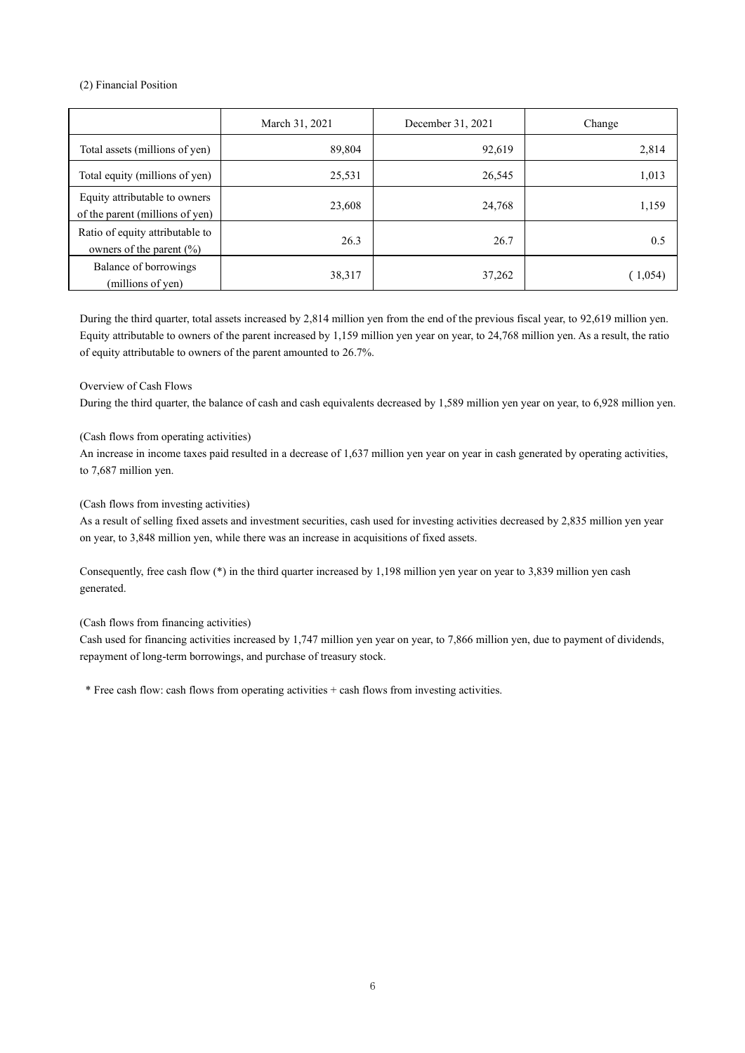#### (2) Financial Position

|                                                                  | March 31, 2021 | December 31, 2021 | Change  |
|------------------------------------------------------------------|----------------|-------------------|---------|
| Total assets (millions of yen)                                   | 89,804         | 92,619            | 2,814   |
| Total equity (millions of yen)                                   | 25,531         | 26,545            | 1,013   |
| Equity attributable to owners<br>of the parent (millions of yen) | 23,608         | 24,768            | 1,159   |
| Ratio of equity attributable to<br>owners of the parent $(\% )$  | 26.3           | 26.7              | 0.5     |
| Balance of borrowings<br>(millions of yen)                       | 38,317         | 37,262            | (1,054) |

During the third quarter, total assets increased by 2,814 million yen from the end of the previous fiscal year, to 92,619 million yen. Equity attributable to owners of the parent increased by 1,159 million yen year on year, to 24,768 million yen. As a result, the ratio of equity attributable to owners of the parent amounted to 26.7%.

#### Overview of Cash Flows

During the third quarter, the balance of cash and cash equivalents decreased by 1,589 million yen year on year, to 6,928 million yen.

#### (Cash flows from operating activities)

An increase in income taxes paid resulted in a decrease of 1,637 million yen year on year in cash generated by operating activities, to 7,687 million yen.

#### (Cash flows from investing activities)

As a result of selling fixed assets and investment securities, cash used for investing activities decreased by 2,835 million yen year on year, to 3,848 million yen, while there was an increase in acquisitions of fixed assets.

Consequently, free cash flow  $(*)$  in the third quarter increased by 1,198 million year on year to 3,839 million yen cash generated.

### (Cash flows from financing activities)

Cash used for financing activities increased by 1,747 million yen year on year, to 7,866 million yen, due to payment of dividends, repayment of long-term borrowings, and purchase of treasury stock.

\* Free cash flow: cash flows from operating activities + cash flows from investing activities.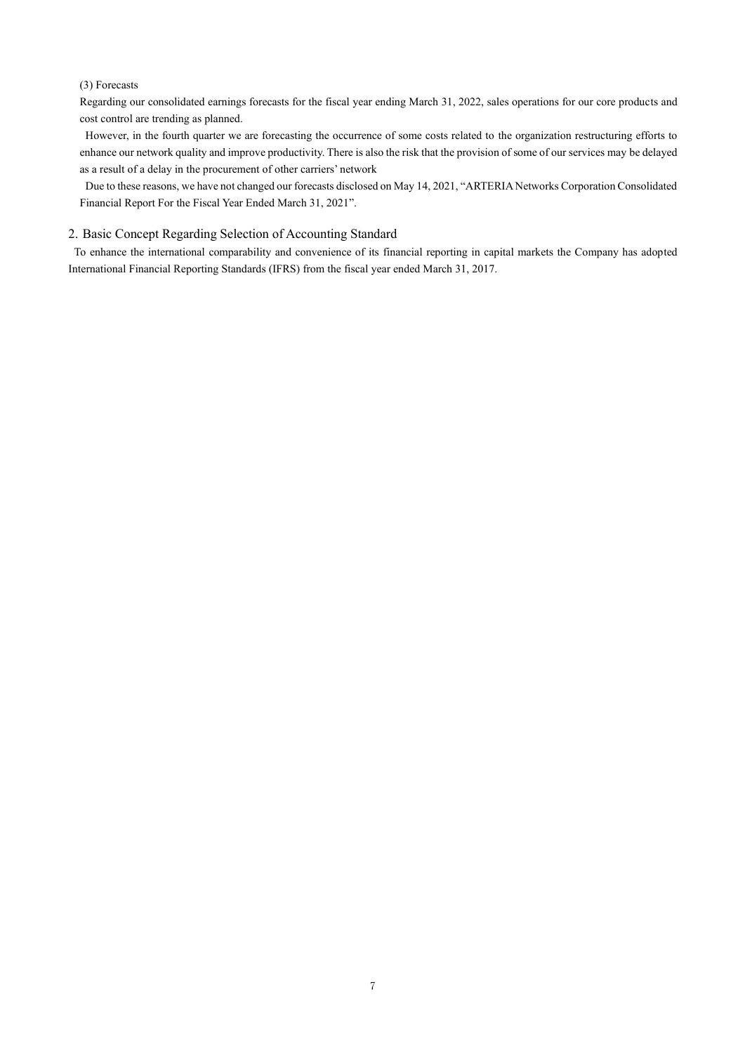#### (3) Forecasts

Regarding our consolidated earnings forecasts for the fiscal year ending March 31, 2022, sales operations for our core products and cost control are trending as planned.

However, in the fourth quarter we are forecasting the occurrence of some costs related to the organization restructuring efforts to enhance our network quality and improve productivity. There is also the risk that the provision of some of our services may be delayed as a result of a delay in the procurement of other carriers' network

Due to these reasons, we have not changed our forecasts disclosed on May 14, 2021, "ARTERIA Networks Corporation Consolidated Financial Report For the Fiscal Year Ended March 31, 2021".

### 2. Basic Concept Regarding Selection of Accounting Standard

To enhance the international comparability and convenience of its financial reporting in capital markets the Company has adopted International Financial Reporting Standards (IFRS) from the fiscal year ended March 31, 2017.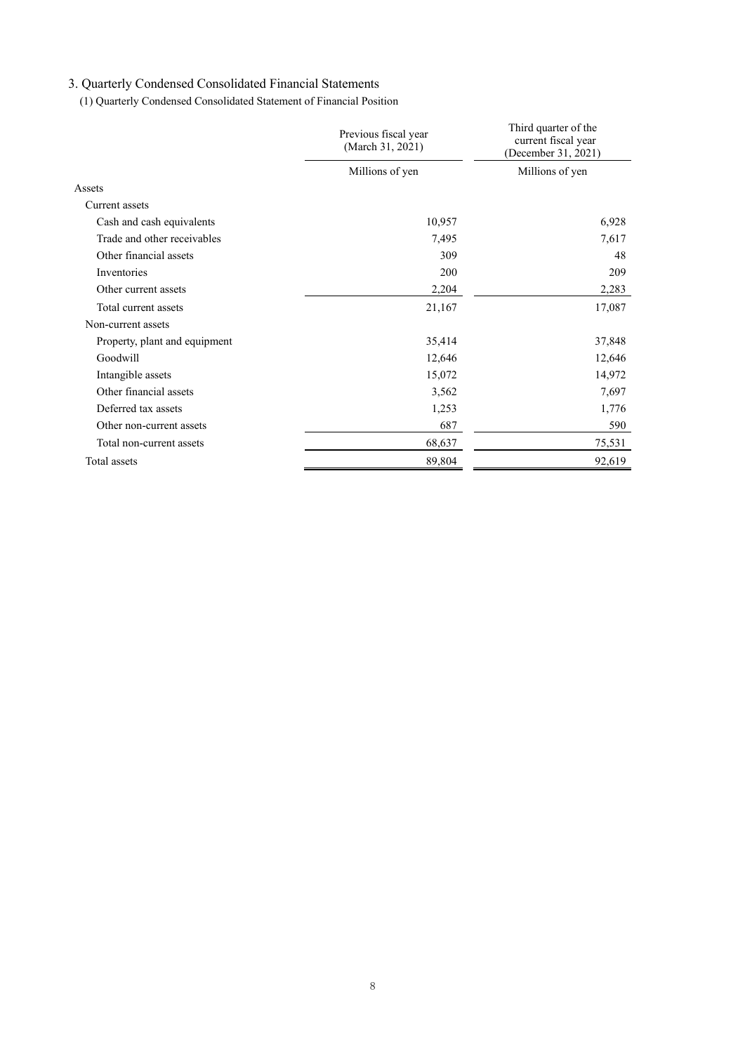## 3. Quarterly Condensed Consolidated Financial Statements

(1) Quarterly Condensed Consolidated Statement of Financial Position

|                               | Previous fiscal year<br>(March 31, 2021) | Third quarter of the<br>current fiscal year<br>(December 31, 2021) |  |  |
|-------------------------------|------------------------------------------|--------------------------------------------------------------------|--|--|
|                               | Millions of yen                          | Millions of yen                                                    |  |  |
| Assets                        |                                          |                                                                    |  |  |
| Current assets                |                                          |                                                                    |  |  |
| Cash and cash equivalents     | 10,957                                   | 6,928                                                              |  |  |
| Trade and other receivables   | 7,495                                    | 7,617                                                              |  |  |
| Other financial assets        | 309                                      | 48                                                                 |  |  |
| Inventories                   | 200                                      | 209                                                                |  |  |
| Other current assets          | 2,204                                    | 2,283                                                              |  |  |
| Total current assets          | 21,167                                   | 17,087                                                             |  |  |
| Non-current assets            |                                          |                                                                    |  |  |
| Property, plant and equipment | 35,414                                   | 37,848                                                             |  |  |
| Goodwill                      | 12,646                                   | 12,646                                                             |  |  |
| Intangible assets             | 15,072                                   | 14,972                                                             |  |  |
| Other financial assets        | 3,562                                    | 7,697                                                              |  |  |
| Deferred tax assets           | 1,253                                    | 1,776                                                              |  |  |
| Other non-current assets      | 687                                      | 590                                                                |  |  |
| Total non-current assets      | 68,637                                   | 75,531                                                             |  |  |
| Total assets                  | 89,804                                   | 92,619                                                             |  |  |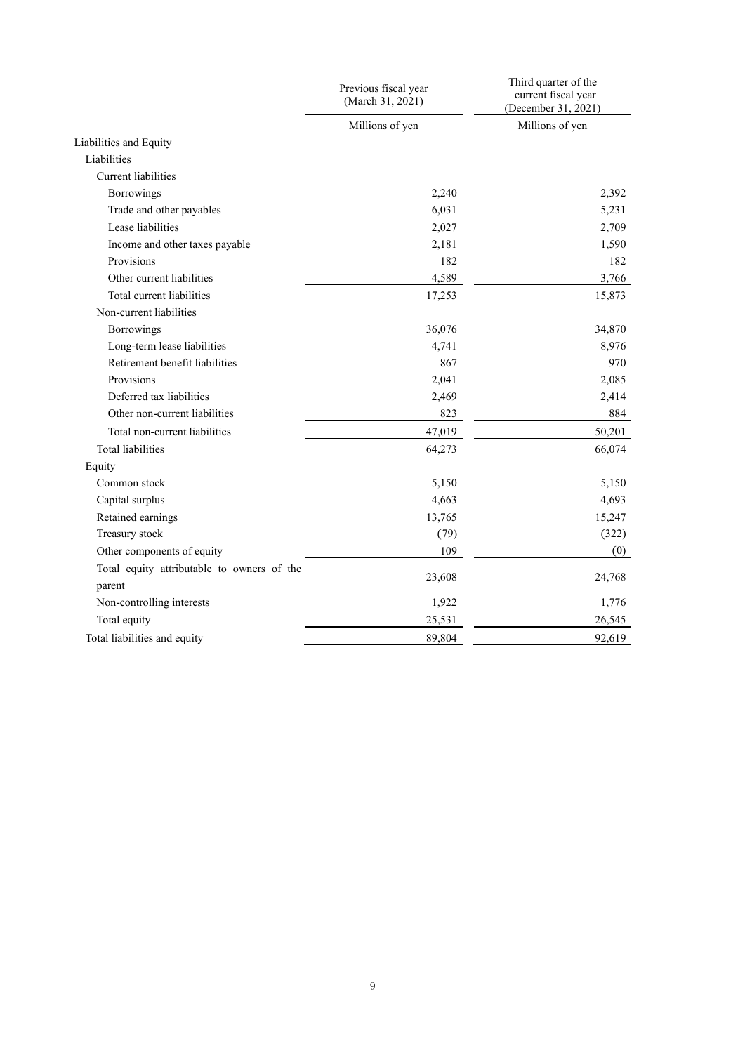|                                            | Previous fiscal year<br>(March 31, 2021) | Third quarter of the<br>current fiscal year<br>(December 31, 2021) |
|--------------------------------------------|------------------------------------------|--------------------------------------------------------------------|
|                                            | Millions of yen                          | Millions of yen                                                    |
| Liabilities and Equity                     |                                          |                                                                    |
| Liabilities                                |                                          |                                                                    |
| <b>Current</b> liabilities                 |                                          |                                                                    |
| <b>Borrowings</b>                          | 2,240                                    | 2,392                                                              |
| Trade and other payables                   | 6,031                                    | 5,231                                                              |
| Lease liabilities                          | 2,027                                    | 2,709                                                              |
| Income and other taxes payable             | 2,181                                    | 1,590                                                              |
| Provisions                                 | 182                                      | 182                                                                |
| Other current liabilities                  | 4,589                                    | 3,766                                                              |
| Total current liabilities                  | 17,253                                   | 15,873                                                             |
| Non-current liabilities                    |                                          |                                                                    |
| Borrowings                                 | 36,076                                   | 34,870                                                             |
| Long-term lease liabilities                | 4,741                                    | 8,976                                                              |
| Retirement benefit liabilities             | 867                                      | 970                                                                |
| Provisions                                 | 2,041                                    | 2,085                                                              |
| Deferred tax liabilities                   | 2,469                                    | 2,414                                                              |
| Other non-current liabilities              | 823                                      | 884                                                                |
| Total non-current liabilities              | 47,019                                   | 50,201                                                             |
| <b>Total liabilities</b>                   | 64,273                                   | 66,074                                                             |
| Equity                                     |                                          |                                                                    |
| Common stock                               | 5,150                                    | 5.150                                                              |
| Capital surplus                            | 4,663                                    | 4,693                                                              |
| Retained earnings                          | 13,765                                   | 15,247                                                             |
| Treasury stock                             | (79)                                     | (322)                                                              |
| Other components of equity                 | 109                                      | (0)                                                                |
| Total equity attributable to owners of the |                                          |                                                                    |
| parent                                     | 23,608                                   | 24,768                                                             |
| Non-controlling interests                  | 1,922                                    | 1,776                                                              |
| Total equity                               | 25,531                                   | 26,545                                                             |
| Total liabilities and equity               | 89,804                                   | 92,619                                                             |
|                                            |                                          |                                                                    |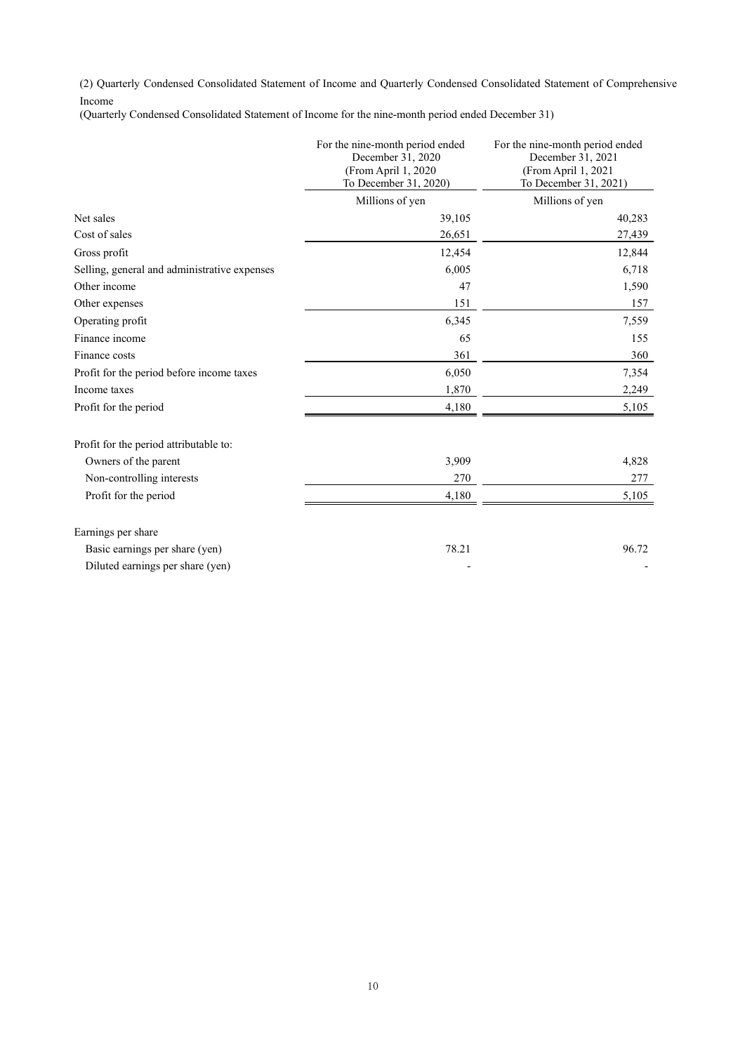(2) Quarterly Condensed Consolidated Statement of Income and Quarterly Condensed Consolidated Statement of Comprehensive Income

(Quarterly Condensed Consolidated Statement of Income for the nine-month period ended December 31)

|                                              | For the nine-month period ended<br>December 31, 2020<br>(From April 1, 2020<br>To December 31, 2020) | For the nine-month period ended<br>December 31, 2021<br>(From April 1, 2021<br>To December 31, 2021) |
|----------------------------------------------|------------------------------------------------------------------------------------------------------|------------------------------------------------------------------------------------------------------|
|                                              | Millions of yen                                                                                      | Millions of yen                                                                                      |
| Net sales                                    | 39,105                                                                                               | 40,283                                                                                               |
| Cost of sales                                | 26,651                                                                                               | 27,439                                                                                               |
| Gross profit                                 | 12,454                                                                                               | 12,844                                                                                               |
| Selling, general and administrative expenses | 6,005                                                                                                | 6,718                                                                                                |
| Other income                                 | 47                                                                                                   | 1,590                                                                                                |
| Other expenses                               | 151                                                                                                  | 157                                                                                                  |
| Operating profit                             | 6,345                                                                                                | 7,559                                                                                                |
| Finance income                               | 65                                                                                                   | 155                                                                                                  |
| Finance costs                                | 361                                                                                                  | 360                                                                                                  |
| Profit for the period before income taxes    | 6,050                                                                                                | 7,354                                                                                                |
| Income taxes                                 | 1,870                                                                                                | 2,249                                                                                                |
| Profit for the period                        | 4,180                                                                                                | 5,105                                                                                                |
| Profit for the period attributable to:       |                                                                                                      |                                                                                                      |
| Owners of the parent                         | 3,909                                                                                                | 4,828                                                                                                |
| Non-controlling interests                    | 270                                                                                                  | 277                                                                                                  |
| Profit for the period                        | 4,180                                                                                                | 5,105                                                                                                |
| Earnings per share                           |                                                                                                      |                                                                                                      |
| Basic earnings per share (yen)               | 78.21                                                                                                | 96.72                                                                                                |
| Diluted earnings per share (yen)             |                                                                                                      |                                                                                                      |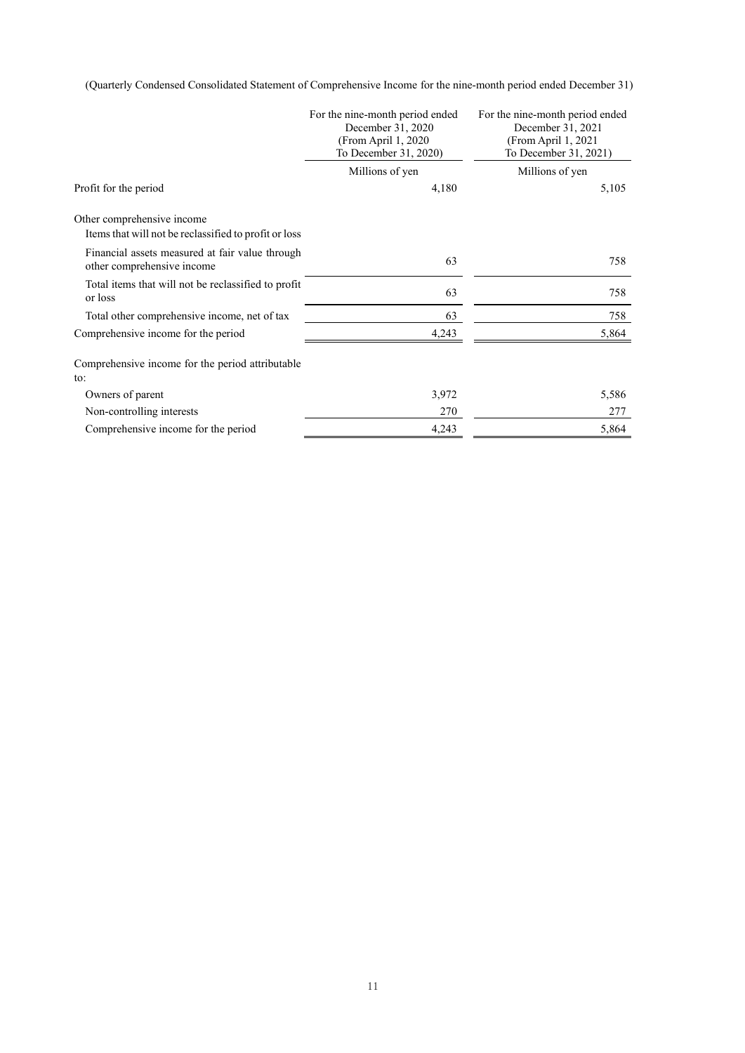(Quarterly Condensed Consolidated Statement of Comprehensive Income for the nine-month period ended December 31)

|                                                                                     | For the nine-month period ended<br>December 31, 2020<br>(From April 1, 2020)<br>To December 31, 2020) | For the nine-month period ended<br>December 31, 2021<br>(From April $1, 2021$<br>To December 31, 2021) |
|-------------------------------------------------------------------------------------|-------------------------------------------------------------------------------------------------------|--------------------------------------------------------------------------------------------------------|
|                                                                                     | Millions of yen                                                                                       | Millions of yen                                                                                        |
| Profit for the period                                                               | 4,180                                                                                                 | 5,105                                                                                                  |
| Other comprehensive income<br>Items that will not be reclassified to profit or loss |                                                                                                       |                                                                                                        |
| Financial assets measured at fair value through<br>other comprehensive income       | 63                                                                                                    | 758                                                                                                    |
| Total items that will not be reclassified to profit<br>or loss                      | 63                                                                                                    | 758                                                                                                    |
| Total other comprehensive income, net of tax                                        | 63                                                                                                    | 758                                                                                                    |
| Comprehensive income for the period                                                 | 4,243                                                                                                 | 5,864                                                                                                  |
| Comprehensive income for the period attributable<br>to:                             |                                                                                                       |                                                                                                        |
| Owners of parent                                                                    | 3,972                                                                                                 | 5,586                                                                                                  |
| Non-controlling interests                                                           | 270                                                                                                   | 277                                                                                                    |
| Comprehensive income for the period                                                 | 4,243                                                                                                 | 5,864                                                                                                  |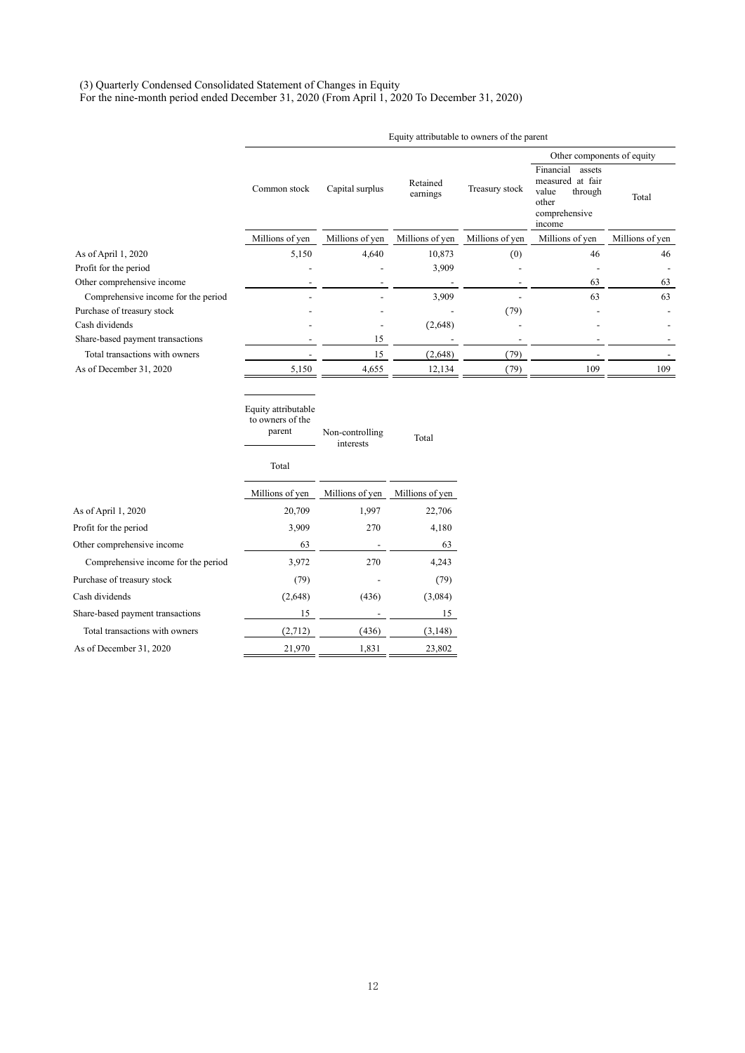#### (3) Quarterly Condensed Consolidated Statement of Changes in Equity

For the nine-month period ended December 31, 2020 (From April 1, 2020 To December 31, 2020)

|                                                           | Equity attributable to owners of the parent       |                              |                      |                 |                                                                                                 |                 |
|-----------------------------------------------------------|---------------------------------------------------|------------------------------|----------------------|-----------------|-------------------------------------------------------------------------------------------------|-----------------|
|                                                           |                                                   |                              |                      |                 | Other components of equity                                                                      |                 |
|                                                           | Common stock                                      | Capital surplus              | Retained<br>earnings | Treasury stock  | Financial<br>assets<br>measured at fair<br>value<br>through<br>other<br>comprehensive<br>income | Total           |
|                                                           | Millions of yen                                   | Millions of yen              | Millions of yen      | Millions of yen | Millions of yen                                                                                 | Millions of yen |
| As of April 1, 2020                                       | 5,150                                             | 4,640                        | 10,873               | (0)             | 46                                                                                              | 46              |
| Profit for the period                                     |                                                   |                              | 3,909                |                 |                                                                                                 |                 |
| Other comprehensive income                                |                                                   |                              |                      |                 | 63                                                                                              | 63              |
| Comprehensive income for the period                       |                                                   |                              | 3,909                |                 | 63                                                                                              | 63              |
| Purchase of treasury stock                                |                                                   |                              |                      | (79)            |                                                                                                 |                 |
| Cash dividends                                            |                                                   |                              | (2,648)              |                 |                                                                                                 |                 |
| Share-based payment transactions                          |                                                   | 15                           |                      |                 |                                                                                                 |                 |
| Total transactions with owners<br>As of December 31, 2020 |                                                   | 15<br>4,655                  | (2,648)<br>12,134    | (79)            | 109                                                                                             | 109             |
|                                                           | 5,150                                             |                              |                      | (79)            |                                                                                                 |                 |
|                                                           | Equity attributable<br>to owners of the<br>parent | Non-controlling<br>interests | Total                |                 |                                                                                                 |                 |
|                                                           | Total                                             |                              |                      |                 |                                                                                                 |                 |
|                                                           | Millions of yen                                   | Millions of yen              | Millions of yen      |                 |                                                                                                 |                 |
| As of April 1, 2020                                       | 20,709                                            | 1,997                        | 22,706               |                 |                                                                                                 |                 |
| Profit for the period                                     | 3,909                                             | 270                          | 4,180                |                 |                                                                                                 |                 |
| Other comprehensive income                                | 63                                                |                              | 63                   |                 |                                                                                                 |                 |
| Comprehensive income for the period                       | 3,972                                             | 270                          | 4,243                |                 |                                                                                                 |                 |
| Purchase of treasury stock                                | (79)                                              |                              | (79)                 |                 |                                                                                                 |                 |
| Cash dividends                                            | (2,648)                                           | (436)                        | (3,084)              |                 |                                                                                                 |                 |
| Share-based payment transactions                          | 15                                                |                              | 15                   |                 |                                                                                                 |                 |
| Total transactions with owners                            | (2,712)                                           | (436)                        | (3, 148)             |                 |                                                                                                 |                 |
| As of December 31, 2020                                   | 21,970                                            | 1,831                        | 23,802               |                 |                                                                                                 |                 |
|                                                           |                                                   |                              |                      |                 |                                                                                                 |                 |

12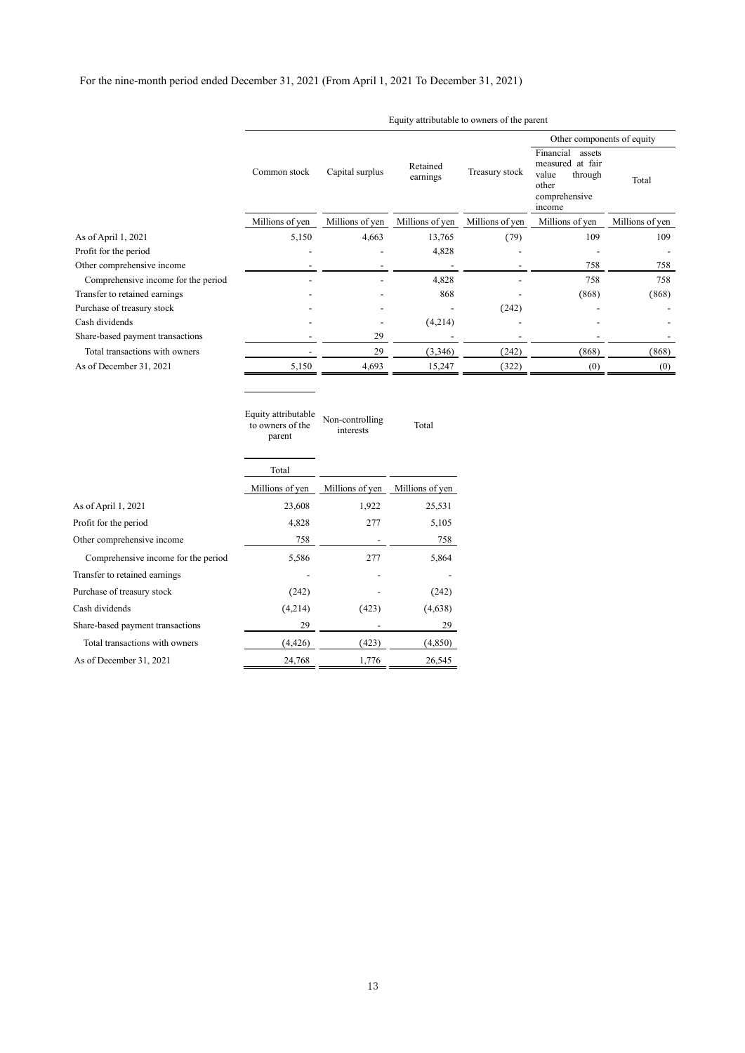Other comprehensive income 758 - 758 - 758 Comprehensive income for the period 5,586 277 5,864

Purchase of treasury stock (242) (242) Cash dividends (4,214) (423) (4,638) Share-based payment transactions 29 29 Total transactions with owners  $(4,426)$   $(423)$   $(4,850)$ As of December 31, 2021 24,768 24,768 26,545

Transfer to retained earnings

|                                     |                                                   |                              |                      |                 | Other components of equity                                                                      |                 |
|-------------------------------------|---------------------------------------------------|------------------------------|----------------------|-----------------|-------------------------------------------------------------------------------------------------|-----------------|
|                                     | Common stock                                      | Capital surplus              | Retained<br>earnings | Treasury stock  | Financial<br>assets<br>measured at fair<br>value<br>through<br>other<br>comprehensive<br>income | Total           |
|                                     | Millions of yen                                   | Millions of yen              | Millions of yen      | Millions of yen | Millions of yen                                                                                 | Millions of yen |
| As of April 1, 2021                 | 5,150                                             | 4,663                        | 13,765               | (79)            | 109                                                                                             | 109             |
| Profit for the period               |                                                   |                              | 4,828                |                 |                                                                                                 |                 |
| Other comprehensive income          |                                                   |                              |                      |                 | 758                                                                                             | 758             |
| Comprehensive income for the period |                                                   |                              | 4,828                |                 | 758                                                                                             | 758             |
| Transfer to retained earnings       |                                                   |                              | 868                  |                 | (868)                                                                                           | (868)           |
| Purchase of treasury stock          |                                                   |                              |                      | (242)           |                                                                                                 |                 |
| Cash dividends                      |                                                   |                              | (4,214)              |                 |                                                                                                 |                 |
| Share-based payment transactions    |                                                   | 29                           |                      |                 |                                                                                                 |                 |
| Total transactions with owners      |                                                   | 29                           | (3,346)              | (242)           | (868)                                                                                           | (868)           |
| As of December 31, 2021             | 5,150                                             | 4,693                        | 15,247               | (322)           | (0)                                                                                             | (0)             |
|                                     | Equity attributable<br>to owners of the<br>parent | Non-controlling<br>interests | Total                |                 |                                                                                                 |                 |
|                                     | Total                                             |                              |                      |                 |                                                                                                 |                 |
|                                     | Millions of yen                                   | Millions of yen              | Millions of yen      |                 |                                                                                                 |                 |
| As of April 1, 2021                 | 23,608                                            | 1,922                        | 25,531               |                 |                                                                                                 |                 |
| Profit for the period               | 4,828                                             | 277                          | 5,105                |                 |                                                                                                 |                 |

Equity attributable to owners of the parent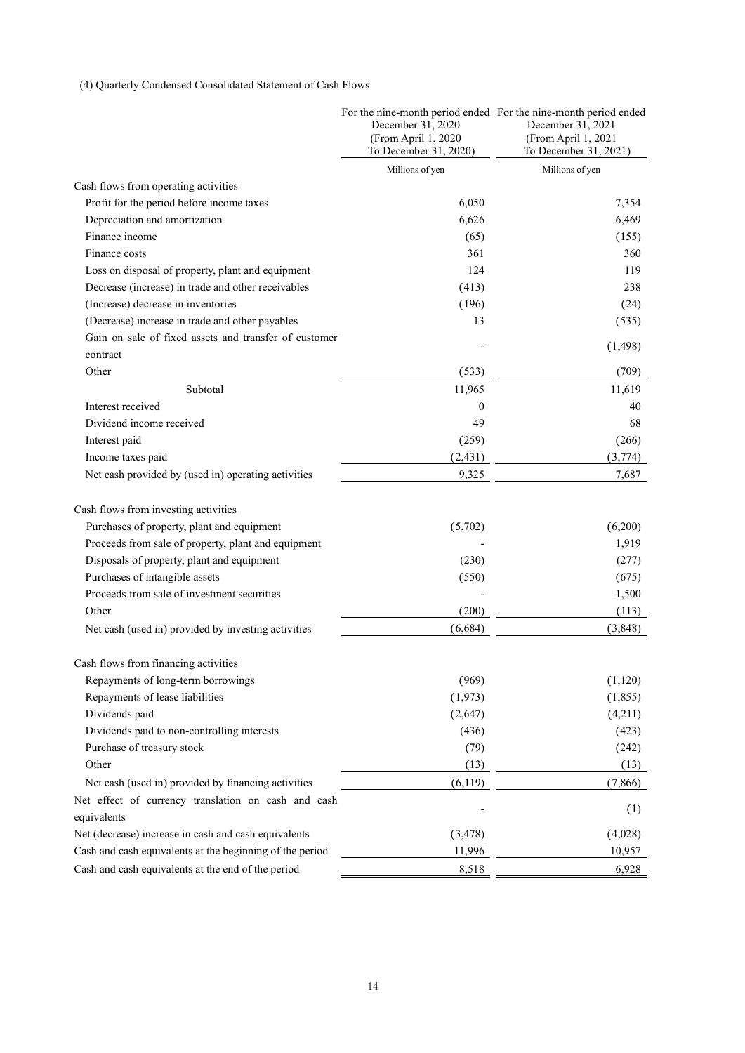## (4) Quarterly Condensed Consolidated Statement of Cash Flows

|                                                          | December 31, 2020<br>(From April 1, 2020<br>To December 31, 2020) | For the nine-month period ended For the nine-month period ended<br>December 31, 2021<br>(From April 1, 2021<br>To December 31, 2021) |
|----------------------------------------------------------|-------------------------------------------------------------------|--------------------------------------------------------------------------------------------------------------------------------------|
|                                                          | Millions of yen                                                   | Millions of yen                                                                                                                      |
| Cash flows from operating activities                     |                                                                   |                                                                                                                                      |
| Profit for the period before income taxes                | 6,050                                                             | 7,354                                                                                                                                |
| Depreciation and amortization                            | 6,626                                                             | 6,469                                                                                                                                |
| Finance income                                           | (65)                                                              | (155)                                                                                                                                |
| Finance costs                                            | 361                                                               | 360                                                                                                                                  |
| Loss on disposal of property, plant and equipment        | 124                                                               | 119                                                                                                                                  |
| Decrease (increase) in trade and other receivables       | (413)                                                             | 238                                                                                                                                  |
| (Increase) decrease in inventories                       | (196)                                                             | (24)                                                                                                                                 |
| (Decrease) increase in trade and other payables          | 13                                                                | (535)                                                                                                                                |
| Gain on sale of fixed assets and transfer of customer    |                                                                   | (1, 498)                                                                                                                             |
| contract                                                 |                                                                   |                                                                                                                                      |
| Other                                                    | (533)                                                             | (709)                                                                                                                                |
| Subtotal                                                 | 11,965                                                            | 11,619                                                                                                                               |
| Interest received                                        | $\boldsymbol{0}$                                                  | 40                                                                                                                                   |
| Dividend income received                                 | 49                                                                | 68                                                                                                                                   |
| Interest paid                                            | (259)                                                             | (266)                                                                                                                                |
| Income taxes paid                                        | (2, 431)                                                          | (3,774)                                                                                                                              |
| Net cash provided by (used in) operating activities      | 9,325                                                             | 7,687                                                                                                                                |
| Cash flows from investing activities                     |                                                                   |                                                                                                                                      |
| Purchases of property, plant and equipment               | (5,702)                                                           | (6,200)                                                                                                                              |
| Proceeds from sale of property, plant and equipment      |                                                                   | 1,919                                                                                                                                |
| Disposals of property, plant and equipment               | (230)                                                             | (277)                                                                                                                                |
| Purchases of intangible assets                           | (550)                                                             | (675)                                                                                                                                |
| Proceeds from sale of investment securities              |                                                                   | 1,500                                                                                                                                |
| Other                                                    | (200)                                                             | (113)                                                                                                                                |
| Net cash (used in) provided by investing activities      | (6, 684)                                                          | (3, 848)                                                                                                                             |
| Cash flows from financing activities                     |                                                                   |                                                                                                                                      |
| Repayments of long-term borrowings                       | (969)                                                             | (1, 120)                                                                                                                             |
| Repayments of lease liabilities                          | (1, 973)                                                          | (1, 855)                                                                                                                             |
| Dividends paid                                           | (2,647)                                                           | (4,211)                                                                                                                              |
| Dividends paid to non-controlling interests              | (436)                                                             | (423)                                                                                                                                |
| Purchase of treasury stock                               | (79)                                                              | (242)                                                                                                                                |
| Other                                                    | (13)                                                              | (13)                                                                                                                                 |
| Net cash (used in) provided by financing activities      | (6, 119)                                                          | (7, 866)                                                                                                                             |
| Net effect of currency translation on cash and cash      |                                                                   |                                                                                                                                      |
| equivalents                                              |                                                                   | (1)                                                                                                                                  |
| Net (decrease) increase in cash and cash equivalents     | (3, 478)                                                          | (4,028)                                                                                                                              |
| Cash and cash equivalents at the beginning of the period | 11,996                                                            | 10,957                                                                                                                               |
| Cash and cash equivalents at the end of the period       | 8,518                                                             | 6,928                                                                                                                                |